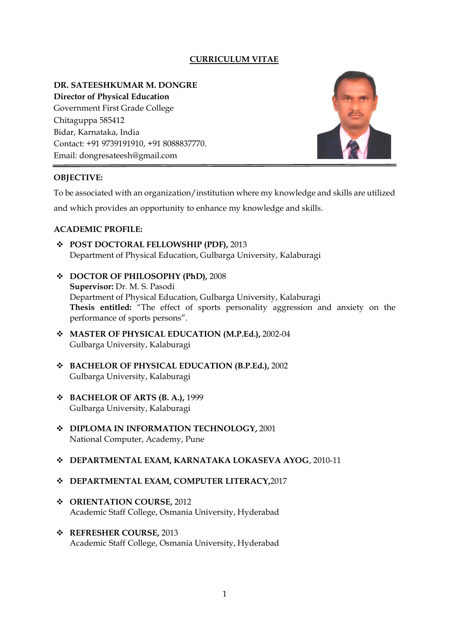# **CURRICULUM VITAE**

#### **DR. SATEESHKUMAR M. DONGRE**

**Director of Physical Education** Government First Grade College Chitaguppa 585412 Bidar, Karnataka, India Contact: +91 9739191910, +91 8088837770. Email: dongresateesh@gmail.com



## **OBJECTIVE:**

To be associated with an organization/institution where my knowledge and skills are utilized

and which provides an opportunity to enhance my knowledge and skills.

## **ACADEMIC PROFILE:**

- ❖ **POST DOCTORAL FELLOWSHIP (PDF),** 2013 Department of Physical Education, Gulbarga University, Kalaburagi
- ❖ **DOCTOR OF PHILOSOPHY (PhD),** 2008 **Supervisor:** Dr. M. S. Pasodi Department of Physical Education, Gulbarga University, Kalaburagi **Thesis entitled:** "The effect of sports personality aggression and anxiety on the performance of sports persons".
- ❖ **MASTER OF PHYSICAL EDUCATION (M.P.Ed.),** 2002-04 Gulbarga University, Kalaburagi
- ❖ **BACHELOR OF PHYSICAL EDUCATION (B.P.Ed.),** 2002 Gulbarga University, Kalaburagi
- ❖ **BACHELOR OF ARTS (B. A.),** 1999 Gulbarga University, Kalaburagi
- ❖ **DIPLOMA IN INFORMATION TECHNOLOGY,** 2001 National Computer, Academy, Pune

# ❖ **DEPARTMENTAL EXAM, KARNATAKA LOKASEVA AYOG**, 2010-11

# ❖ **DEPARTMENTAL EXAM, COMPUTER LITERACY,**2017

- ❖ **ORIENTATION COURSE,** 2012 Academic Staff College, Osmania University, Hyderabad
- ❖ **REFRESHER COURSE,** 2013 Academic Staff College, Osmania University, Hyderabad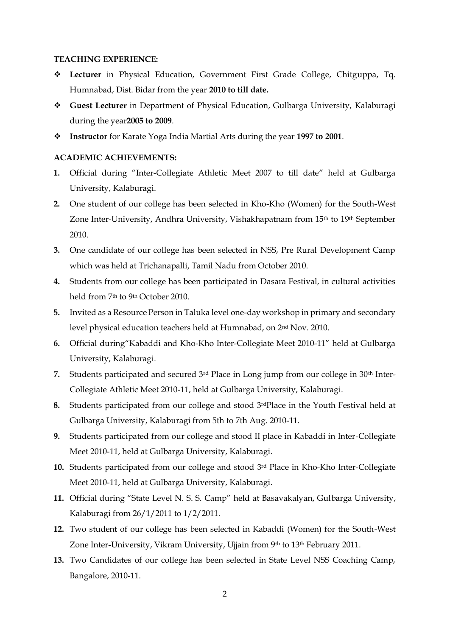#### **TEACHING EXPERIENCE:**

- ❖ **Lecturer** in Physical Education, Government First Grade College, Chitguppa, Tq. Humnabad, Dist. Bidar from the year **2010 to till date.**
- ❖ **Guest Lecturer** in Department of Physical Education, Gulbarga University, Kalaburagi during the year**2005 to 2009**.
- ❖ **Instructor** for Karate Yoga India Martial Arts during the year **1997 to 2001**.

#### **ACADEMIC ACHIEVEMENTS:**

- **1.** Official during "Inter-Collegiate Athletic Meet 2007 to till date" held at Gulbarga University, Kalaburagi.
- **2.** One student of our college has been selected in Kho-Kho (Women) for the South-West Zone Inter-University, Andhra University, Vishakhapatnam from 15<sup>th</sup> to 19<sup>th</sup> September 2010.
- **3.** One candidate of our college has been selected in NSS, Pre Rural Development Camp which was held at Trichanapalli, Tamil Nadu from October 2010.
- **4.** Students from our college has been participated in Dasara Festival, in cultural activities held from 7th to 9th October 2010.
- **5.** Invited as a Resource Person in Taluka level one-day workshop in primary and secondary level physical education teachers held at Humnabad, on 2nd Nov. 2010.
- **6.** Official during"Kabaddi and Kho-Kho Inter-Collegiate Meet 2010-11" held at Gulbarga University, Kalaburagi.
- 7. Students participated and secured 3<sup>rd</sup> Place in Long jump from our college in 30<sup>th</sup> Inter-Collegiate Athletic Meet 2010-11, held at Gulbarga University, Kalaburagi.
- **8.** Students participated from our college and stood 3rdPlace in the Youth Festival held at Gulbarga University, Kalaburagi from 5th to 7th Aug. 2010-11.
- **9.** Students participated from our college and stood II place in Kabaddi in Inter-Collegiate Meet 2010-11, held at Gulbarga University, Kalaburagi.
- **10.** Students participated from our college and stood 3rd Place in Kho-Kho Inter-Collegiate Meet 2010-11, held at Gulbarga University, Kalaburagi.
- **11.** Official during "State Level N. S. S. Camp" held at Basavakalyan, Gulbarga University, Kalaburagi from 26/1/2011 to 1/2/2011.
- **12.** Two student of our college has been selected in Kabaddi (Women) for the South-West Zone Inter-University, Vikram University, Ujjain from 9th to 13th February 2011.
- **13.** Two Candidates of our college has been selected in State Level NSS Coaching Camp, Bangalore, 2010-11.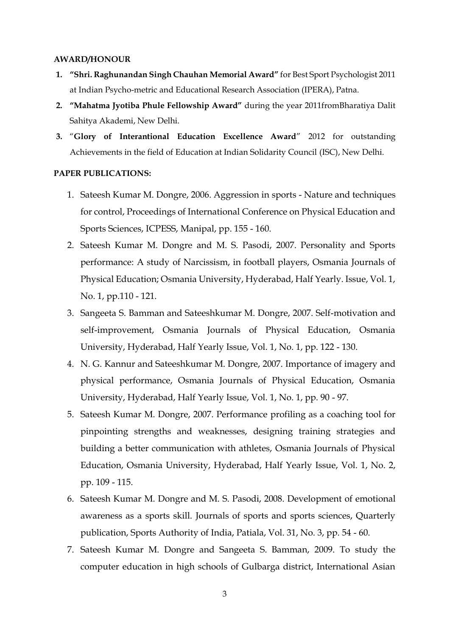#### **AWARD/HONOUR**

- **1. "Shri. Raghunandan Singh Chauhan Memorial Award"** for Best Sport Psychologist 2011 at Indian Psycho-metric and Educational Research Association (IPERA), Patna.
- **2. "Mahatma Jyotiba Phule Fellowship Award"** during the year 2011fromBharatiya Dalit Sahitya Akademi, New Delhi.
- **3.** "**Glory of Interantional Education Excellence Award**" 2012 for outstanding Achievements in the field of Education at Indian Solidarity Council (ISC), New Delhi.

### **PAPER PUBLICATIONS:**

- 1. Sateesh Kumar M. Dongre, 2006. Aggression in sports Nature and techniques for control, Proceedings of International Conference on Physical Education and Sports Sciences, ICPESS, Manipal, pp. 155 - 160.
- 2. Sateesh Kumar M. Dongre and M. S. Pasodi, 2007. Personality and Sports performance: A study of Narcissism, in football players, Osmania Journals of Physical Education; Osmania University, Hyderabad, Half Yearly. Issue, Vol. 1, No. 1, pp.110 - 121.
- 3. Sangeeta S. Bamman and Sateeshkumar M. Dongre, 2007. Self-motivation and self-improvement, Osmania Journals of Physical Education, Osmania University, Hyderabad, Half Yearly Issue, Vol. 1, No. 1, pp. 122 - 130.
- 4. N. G. Kannur and Sateeshkumar M. Dongre, 2007. Importance of imagery and physical performance, Osmania Journals of Physical Education, Osmania University, Hyderabad, Half Yearly Issue, Vol. 1, No. 1, pp. 90 - 97.
- 5. Sateesh Kumar M. Dongre, 2007. Performance profiling as a coaching tool for pinpointing strengths and weaknesses, designing training strategies and building a better communication with athletes, Osmania Journals of Physical Education, Osmania University, Hyderabad, Half Yearly Issue, Vol. 1, No. 2, pp. 109 - 115.
- 6. Sateesh Kumar M. Dongre and M. S. Pasodi, 2008. Development of emotional awareness as a sports skill. Journals of sports and sports sciences, Quarterly publication, Sports Authority of India, Patiala, Vol. 31, No. 3, pp. 54 - 60.
- 7. Sateesh Kumar M. Dongre and Sangeeta S. Bamman, 2009. To study the computer education in high schools of Gulbarga district, International Asian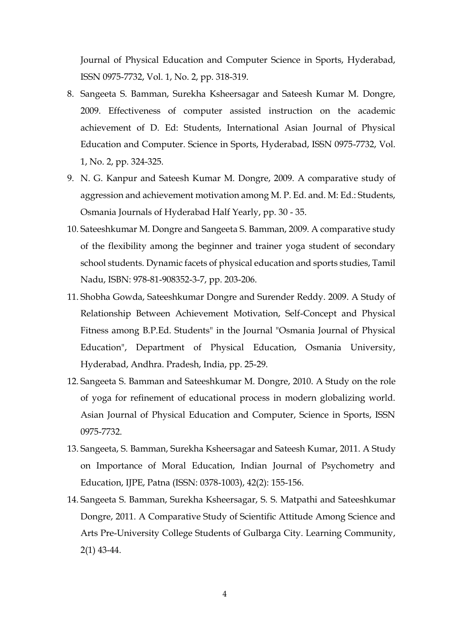Journal of Physical Education and Computer Science in Sports, Hyderabad, ISSN 0975-7732, Vol. 1, No. 2, pp. 318-319.

- 8. Sangeeta S. Bamman, Surekha Ksheersagar and Sateesh Kumar M. Dongre, 2009. Effectiveness of computer assisted instruction on the academic achievement of D. Ed: Students, International Asian Journal of Physical Education and Computer. Science in Sports, Hyderabad, ISSN 0975-7732, Vol. 1, No. 2, pp. 324-325.
- 9. N. G. Kanpur and Sateesh Kumar M. Dongre, 2009. A comparative study of aggression and achievement motivation among M. P. Ed. and. M: Ed.: Students, Osmania Journals of Hyderabad Half Yearly, pp. 30 - 35.
- 10. Sateeshkumar M. Dongre and Sangeeta S. Bamman, 2009. A comparative study of the flexibility among the beginner and trainer yoga student of secondary school students. Dynamic facets of physical education and sports studies, Tamil Nadu, ISBN: 978-81-908352-3-7, pp. 203-206.
- 11. Shobha Gowda, Sateeshkumar Dongre and Surender Reddy. 2009. A Study of Relationship Between Achievement Motivation, Self-Concept and Physical Fitness among B.P.Ed. Students" in the Journal "Osmania Journal of Physical Education", Department of Physical Education, Osmania University, Hyderabad, Andhra. Pradesh, India, pp. 25-29.
- 12. Sangeeta S. Bamman and Sateeshkumar M. Dongre, 2010. A Study on the role of yoga for refinement of educational process in modern globalizing world. Asian Journal of Physical Education and Computer, Science in Sports, ISSN 0975-7732.
- 13. Sangeeta, S. Bamman, Surekha Ksheersagar and Sateesh Kumar, 2011. A Study on Importance of Moral Education, Indian Journal of Psychometry and Education, IJPE, Patna (ISSN: 0378-1003), 42(2): 155-156.
- 14. Sangeeta S. Bamman, Surekha Ksheersagar, S. S. Matpathi and Sateeshkumar Dongre, 2011. A Comparative Study of Scientific Attitude Among Science and Arts Pre-University College Students of Gulbarga City. Learning Community, 2(1) 43-44.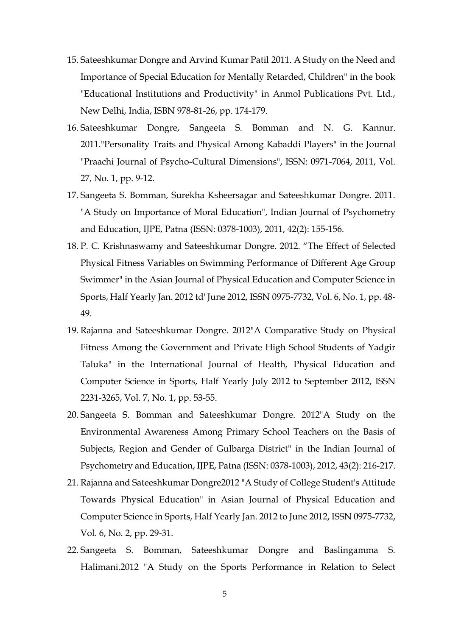- 15. Sateeshkumar Dongre and Arvind Kumar Patil 2011. A Study on the Need and Importance of Special Education for Mentally Retarded, Children" in the book "Educational Institutions and Productivity" in Anmol Publications Pvt. Ltd., New Delhi, India, ISBN 978-81-26, pp. 174-179.
- 16. Sateeshkumar Dongre, Sangeeta S. Bomman and N. G. Kannur. 2011."Personality Traits and Physical Among Kabaddi Players" in the Journal "Praachi Journal of Psycho-Cultural Dimensions", ISSN: 0971-7064, 2011, Vol. 27, No. 1, pp. 9-12.
- 17. Sangeeta S. Bomman, Surekha Ksheersagar and Sateeshkumar Dongre. 2011. "A Study on Importance of Moral Education", Indian Journal of Psychometry and Education, IJPE, Patna (ISSN: 0378-1003), 2011, 42(2): 155-156.
- 18. P. C. Krishnaswamy and Sateeshkumar Dongre. 2012. "The Effect of Selected Physical Fitness Variables on Swimming Performance of Different Age Group Swimmer" in the Asian Journal of Physical Education and Computer Science in Sports, Half Yearly Jan. 2012 td' June 2012, ISSN 0975-7732, Vol. 6, No. 1, pp. 48- 49.
- 19. Rajanna and Sateeshkumar Dongre. 2012"A Comparative Study on Physical Fitness Among the Government and Private High School Students of Yadgir Taluka" in the International Journal of Health, Physical Education and Computer Science in Sports, Half Yearly July 2012 to September 2012, ISSN 2231-3265, Vol. 7, No. 1, pp. 53-55.
- 20. Sangeeta S. Bomman and Sateeshkumar Dongre. 2012"A Study on the Environmental Awareness Among Primary School Teachers on the Basis of Subjects, Region and Gender of Gulbarga District" in the Indian Journal of Psychometry and Education, IJPE, Patna (ISSN: 0378-1003), 2012, 43(2): 216-217.
- 21. Rajanna and Sateeshkumar Dongre2012 "A Study of College Student's Attitude Towards Physical Education" in Asian Journal of Physical Education and Computer Science in Sports, Half Yearly Jan. 2012 to June 2012, ISSN 0975-7732, Vol. 6, No. 2, pp. 29-31.
- 22. Sangeeta S. Bomman, Sateeshkumar Dongre and Baslingamma S. Halimani.2012 "A Study on the Sports Performance in Relation to Select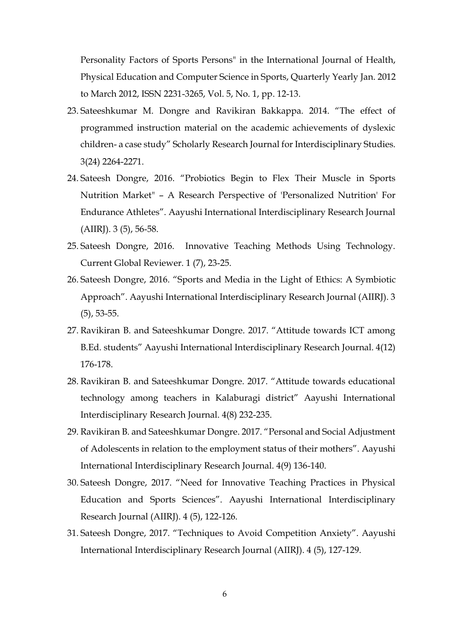Personality Factors of Sports Persons" in the International Journal of Health, Physical Education and Computer Science in Sports, Quarterly Yearly Jan. 2012 to March 2012, ISSN 2231-3265, Vol. 5, No. 1, pp. 12-13.

- 23. Sateeshkumar M. Dongre and Ravikiran Bakkappa. 2014. "The effect of programmed instruction material on the academic achievements of dyslexic children- a case study" Scholarly Research Journal for Interdisciplinary Studies. 3(24) 2264-2271.
- 24. Sateesh Dongre, 2016. "Probiotics Begin to Flex Their Muscle in Sports Nutrition Market" – A Research Perspective of 'Personalized Nutrition' For Endurance Athletes". Aayushi International Interdisciplinary Research Journal (AIIRJ). 3 (5), 56-58.
- 25. Sateesh Dongre, 2016. Innovative Teaching Methods Using Technology. Current Global Reviewer. 1 (7), 23-25.
- 26. Sateesh Dongre, 2016. "Sports and Media in the Light of Ethics: A Symbiotic Approach". Aayushi International Interdisciplinary Research Journal (AIIRJ). 3 (5), 53-55.
- 27. Ravikiran B. and Sateeshkumar Dongre. 2017. "Attitude towards ICT among B.Ed. students" Aayushi International Interdisciplinary Research Journal. 4(12) 176-178.
- 28. Ravikiran B. and Sateeshkumar Dongre. 2017. "Attitude towards educational technology among teachers in Kalaburagi district" Aayushi International Interdisciplinary Research Journal. 4(8) 232-235.
- 29. Ravikiran B. and Sateeshkumar Dongre. 2017. "Personal and Social Adjustment of Adolescents in relation to the employment status of their mothers". Aayushi International Interdisciplinary Research Journal. 4(9) 136-140.
- 30. Sateesh Dongre, 2017. "Need for Innovative Teaching Practices in Physical Education and Sports Sciences". Aayushi International Interdisciplinary Research Journal (AIIRJ). 4 (5), 122-126.
- 31. Sateesh Dongre, 2017. "Techniques to Avoid Competition Anxiety". Aayushi International Interdisciplinary Research Journal (AIIRJ). 4 (5), 127-129.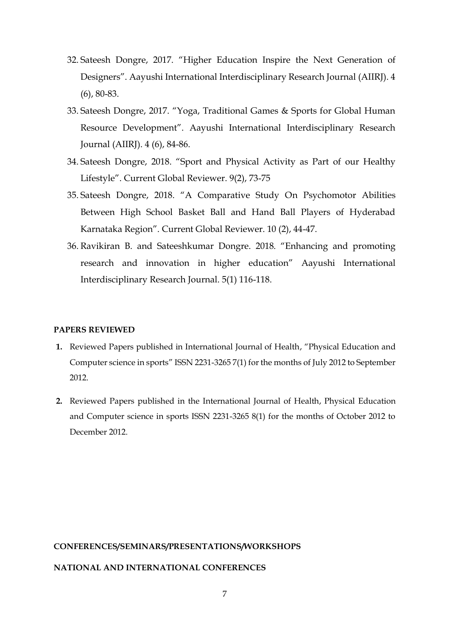- 32. Sateesh Dongre, 2017. "Higher Education Inspire the Next Generation of Designers". Aayushi International Interdisciplinary Research Journal (AIIRJ). 4 (6), 80-83.
- 33. Sateesh Dongre, 2017. "Yoga, Traditional Games & Sports for Global Human Resource Development". Aayushi International Interdisciplinary Research Journal (AIIRJ). 4 (6), 84-86.
- 34. Sateesh Dongre, 2018. "Sport and Physical Activity as Part of our Healthy Lifestyle". Current Global Reviewer. 9(2), 73-75
- 35. Sateesh Dongre, 2018. "A Comparative Study On Psychomotor Abilities Between High School Basket Ball and Hand Ball Players of Hyderabad Karnataka Region". Current Global Reviewer. 10 (2), 44-47.
- 36. Ravikiran B. and Sateeshkumar Dongre. 2018. "Enhancing and promoting research and innovation in higher education" Aayushi International Interdisciplinary Research Journal. 5(1) 116-118.

#### **PAPERS REVIEWED**

- **1.** Reviewed Papers published in International Journal of Health, "Physical Education and Computer science in sports" ISSN 2231-3265 7(1) for the months of July 2012 to September 2012.
- **2.** Reviewed Papers published in the International Journal of Health, Physical Education and Computer science in sports ISSN 2231-3265 8(1) for the months of October 2012 to December 2012.

## **CONFERENCES/SEMINARS/PRESENTATIONS/WORKSHOPS**

## **NATIONAL AND INTERNATIONAL CONFERENCES**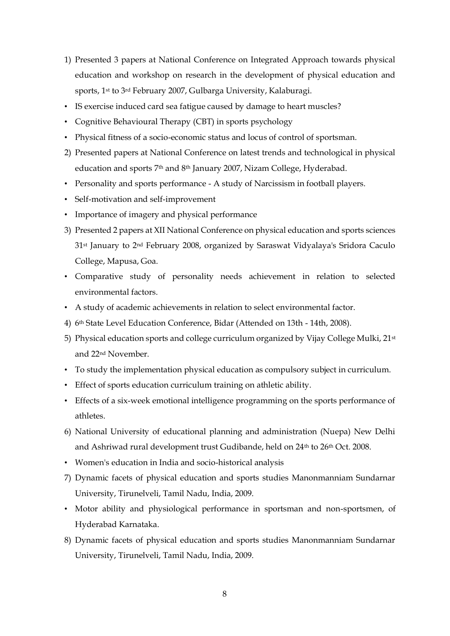- 1) Presented 3 papers at National Conference on Integrated Approach towards physical education and workshop on research in the development of physical education and sports, 1st to 3rd February 2007, Gulbarga University, Kalaburagi.
- IS exercise induced card sea fatigue caused by damage to heart muscles?
- Cognitive Behavioural Therapy (CBT) in sports psychology
- Physical fitness of a socio-economic status and locus of control of sportsman.
- 2) Presented papers at National Conference on latest trends and technological in physical education and sports 7<sup>th</sup> and 8<sup>th</sup> January 2007, Nizam College, Hyderabad.
- Personality and sports performance A study of Narcissism in football players.
- Self-motivation and self-improvement
- Importance of imagery and physical performance
- 3) Presented 2 papers at XII National Conference on physical education and sports sciences 31st January to 2nd February 2008, organized by Saraswat Vidyalaya's Sridora Caculo College, Mapusa, Goa.
- Comparative study of personality needs achievement in relation to selected environmental factors.
- A study of academic achievements in relation to select environmental factor.
- 4) 6th State Level Education Conference, Bidar (Attended on 13th 14th, 2008).
- 5) Physical education sports and college curriculum organized by Vijay College Mulki, 21st and 22nd November.
- To study the implementation physical education as compulsory subject in curriculum.
- Effect of sports education curriculum training on athletic ability.
- Effects of a six-week emotional intelligence programming on the sports performance of athletes.
- 6) National University of educational planning and administration (Nuepa) New Delhi and Ashriwad rural development trust Gudibande, held on 24<sup>th</sup> to 26<sup>th</sup> Oct. 2008.
- Women's education in India and socio-historical analysis
- 7) Dynamic facets of physical education and sports studies Manonmanniam Sundarnar University, Tirunelveli, Tamil Nadu, India, 2009.
- Motor ability and physiological performance in sportsman and non-sportsmen, of Hyderabad Karnataka.
- 8) Dynamic facets of physical education and sports studies Manonmanniam Sundarnar University, Tirunelveli, Tamil Nadu, India, 2009.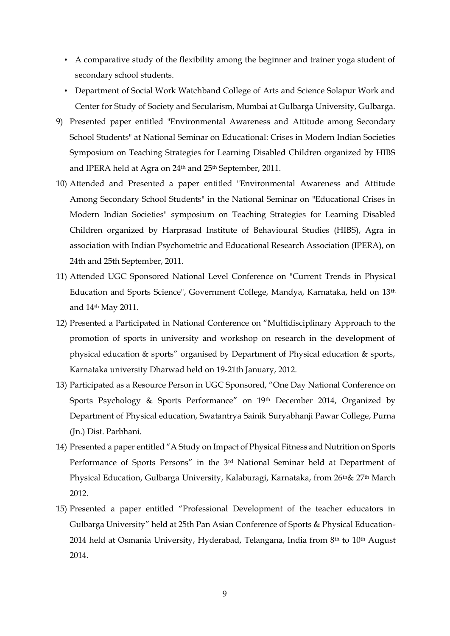- A comparative study of the flexibility among the beginner and trainer yoga student of secondary school students.
- Department of Social Work Watchband College of Arts and Science Solapur Work and Center for Study of Society and Secularism, Mumbai at Gulbarga University, Gulbarga.
- 9) Presented paper entitled "Environmental Awareness and Attitude among Secondary School Students" at National Seminar on Educational: Crises in Modern Indian Societies Symposium on Teaching Strategies for Learning Disabled Children organized by HIBS and IPERA held at Agra on 24<sup>th</sup> and 25<sup>th</sup> September, 2011.
- 10) Attended and Presented a paper entitled "Environmental Awareness and Attitude Among Secondary School Students" in the National Seminar on "Educational Crises in Modern Indian Societies" symposium on Teaching Strategies for Learning Disabled Children organized by Harprasad Institute of Behavioural Studies (HIBS), Agra in association with Indian Psychometric and Educational Research Association (IPERA), on 24th and 25th September, 2011.
- 11) Attended UGC Sponsored National Level Conference on "Current Trends in Physical Education and Sports Science", Government College, Mandya, Karnataka, held on 13th and 14th May 2011.
- 12) Presented a Participated in National Conference on "Multidisciplinary Approach to the promotion of sports in university and workshop on research in the development of physical education & sports" organised by Department of Physical education & sports, Karnataka university Dharwad held on 19-21th January, 2012.
- 13) Participated as a Resource Person in UGC Sponsored, "One Day National Conference on Sports Psychology & Sports Performance" on 19th December 2014, Organized by Department of Physical education, Swatantrya Sainik Suryabhanji Pawar College, Purna (Jn.) Dist. Parbhani.
- 14) Presented a paper entitled "A Study on Impact of Physical Fitness and Nutrition on Sports Performance of Sports Persons" in the 3rd National Seminar held at Department of Physical Education, Gulbarga University, Kalaburagi, Karnataka, from 26<sup>th</sup>& 27<sup>th</sup> March 2012.
- 15) Presented a paper entitled "Professional Development of the teacher educators in Gulbarga University" held at 25th Pan Asian Conference of Sports & Physical Education-2014 held at Osmania University, Hyderabad, Telangana, India from 8<sup>th</sup> to 10<sup>th</sup> August 2014.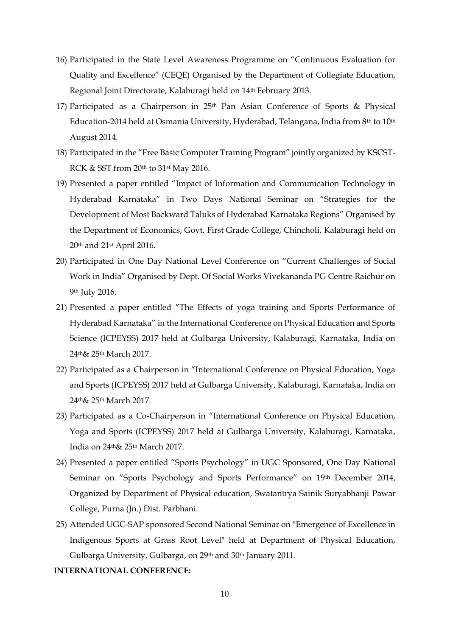- 16) Participated in the State Level Awareness Programme on "Continuous Evaluation for Quality and Excellence" (CEQE) Organised by the Department of Collegiate Education, Regional Joint Directorate, Kalaburagi held on 14th February 2013.
- 17) Participated as a Chairperson in 25th Pan Asian Conference of Sports & Physical Education-2014 held at Osmania University, Hyderabad, Telangana, India from 8<sup>th</sup> to 10<sup>th</sup> August 2014.
- 18) Participated in the "Free Basic Computer Training Program" jointly organized by KSCST-RCK  $\&$  SST from 20<sup>th</sup> to 31<sup>st</sup> May 2016.
- 19) Presented a paper entitled "Impact of Information and Communication Technology in Hyderabad Karnataka" in Two Days National Seminar on "Strategies for the Development of Most Backward Taluks of Hyderabad Karnataka Regions" Organised by the Department of Economics, Govt. First Grade College, Chincholi, Kalaburagi held on 20th and 21st April 2016.
- 20) Participated in One Day National Level Conference on "Current Challenges of Social Work in India" Organised by Dept. Of Social Works Vivekananda PG Centre Raichur on 9th July 2016.
- 21) Presented a paper entitled "The Effects of yoga training and Sports Performance of Hyderabad Karnataka" in the International Conference on Physical Education and Sports Science (ICPEYSS) 2017 held at Gulbarga University, Kalaburagi, Karnataka, India on 24th& 25th March 2017.
- 22) Participated as a Chairperson in "International Conference on Physical Education, Yoga and Sports (ICPEYSS) 2017 held at Gulbarga University, Kalaburagi, Karnataka, India on 24th& 25th March 2017.
- 23) Participated as a Co-Chairperson in "International Conference on Physical Education, Yoga and Sports (ICPEYSS) 2017 held at Gulbarga University, Kalaburagi, Karnataka, India on 24th& 25th March 2017.
- 24) Presented a paper entitled "Sports Psychology" in UGC Sponsored, One Day National Seminar on "Sports Psychology and Sports Performance" on 19th December 2014, Organized by Department of Physical education, Swatantrya Sainik Suryabhanji Pawar College, Purna (Jn.) Dist. Parbhani.
- 25) Attended UGC-SAP sponsored Second National Seminar on "Emergence of Excellence in Indigenous Sports at Grass Root Level" held at Department of Physical Education, Gulbarga University, Gulbarga, on 29th and 30th January 2011.

### **INTERNATIONAL CONFERENCE:**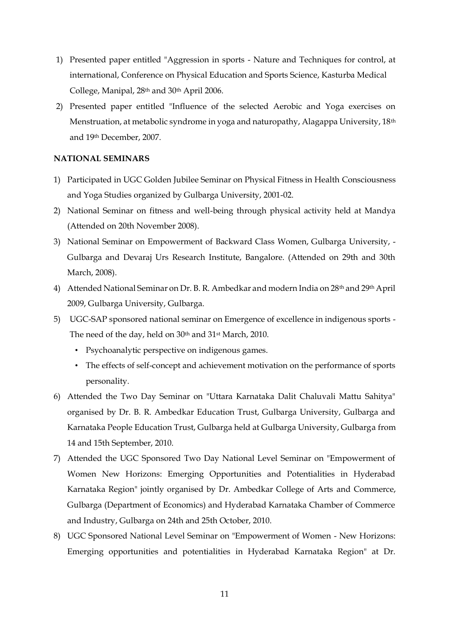- 1) Presented paper entitled "Aggression in sports Nature and Techniques for control, at international, Conference on Physical Education and Sports Science, Kasturba Medical College, Manipal, 28th and 30th April 2006.
- 2) Presented paper entitled "Influence of the selected Aerobic and Yoga exercises on Menstruation, at metabolic syndrome in yoga and naturopathy, Alagappa University, 18th and 19th December, 2007.

#### **NATIONAL SEMINARS**

- 1) Participated in UGC Golden Jubilee Seminar on Physical Fitness in Health Consciousness and Yoga Studies organized by Gulbarga University, 2001-02.
- 2) National Seminar on fitness and well-being through physical activity held at Mandya (Attended on 20th November 2008).
- 3) National Seminar on Empowerment of Backward Class Women, Gulbarga University, Gulbarga and Devaraj Urs Research Institute, Bangalore. (Attended on 29th and 30th March, 2008).
- 4) Attended National Seminar on Dr. B. R. Ambedkar and modern India on 28<sup>th</sup> and 29<sup>th</sup> April 2009, Gulbarga University, Gulbarga.
- 5) UGC-SAP sponsored national seminar on Emergence of excellence in indigenous sports The need of the day, held on 30<sup>th</sup> and 31<sup>st</sup> March, 2010.
	- Psychoanalytic perspective on indigenous games.
	- The effects of self-concept and achievement motivation on the performance of sports personality.
- 6) Attended the Two Day Seminar on "Uttara Karnataka Dalit Chaluvali Mattu Sahitya" organised by Dr. B. R. Ambedkar Education Trust, Gulbarga University, Gulbarga and Karnataka People Education Trust, Gulbarga held at Gulbarga University, Gulbarga from 14 and 15th September, 2010.
- 7) Attended the UGC Sponsored Two Day National Level Seminar on "Empowerment of Women New Horizons: Emerging Opportunities and Potentialities in Hyderabad Karnataka Region" jointly organised by Dr. Ambedkar College of Arts and Commerce, Gulbarga (Department of Economics) and Hyderabad Karnataka Chamber of Commerce and Industry, Gulbarga on 24th and 25th October, 2010.
- 8) UGC Sponsored National Level Seminar on "Empowerment of Women New Horizons: Emerging opportunities and potentialities in Hyderabad Karnataka Region" at Dr.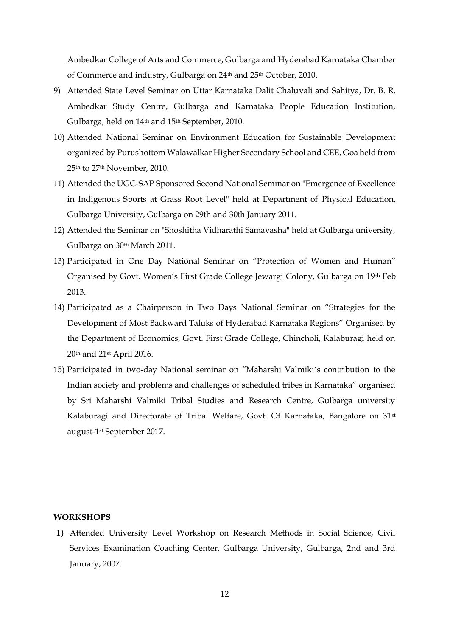Ambedkar College of Arts and Commerce, Gulbarga and Hyderabad Karnataka Chamber of Commerce and industry, Gulbarga on 24th and 25th October, 2010.

- 9) Attended State Level Seminar on Uttar Karnataka Dalit Chaluvali and Sahitya, Dr. B. R. Ambedkar Study Centre, Gulbarga and Karnataka People Education Institution, Gulbarga, held on 14th and 15th September, 2010.
- 10) Attended National Seminar on Environment Education for Sustainable Development organized by Purushottom Walawalkar Higher Secondary School and CEE, Goa held from 25th to 27th November, 2010.
- 11) Attended the UGC-SAP Sponsored Second National Seminar on "Emergence of Excellence in Indigenous Sports at Grass Root Level" held at Department of Physical Education, Gulbarga University, Gulbarga on 29th and 30th January 2011.
- 12) Attended the Seminar on "Shoshitha Vidharathi Samavasha" held at Gulbarga university, Gulbarga on 30th March 2011.
- 13) Participated in One Day National Seminar on "Protection of Women and Human" Organised by Govt. Women's First Grade College Jewargi Colony, Gulbarga on 19th Feb 2013.
- 14) Participated as a Chairperson in Two Days National Seminar on "Strategies for the Development of Most Backward Taluks of Hyderabad Karnataka Regions" Organised by the Department of Economics, Govt. First Grade College, Chincholi, Kalaburagi held on 20th and 21st April 2016.
- 15) Participated in two-day National seminar on "Maharshi Valmiki`s contribution to the Indian society and problems and challenges of scheduled tribes in Karnataka" organised by Sri Maharshi Valmiki Tribal Studies and Research Centre, Gulbarga university Kalaburagi and Directorate of Tribal Welfare, Govt. Of Karnataka, Bangalore on 31<sup>st</sup> august-1st September 2017.

#### **WORKSHOPS**

1) Attended University Level Workshop on Research Methods in Social Science, Civil Services Examination Coaching Center, Gulbarga University, Gulbarga, 2nd and 3rd January, 2007.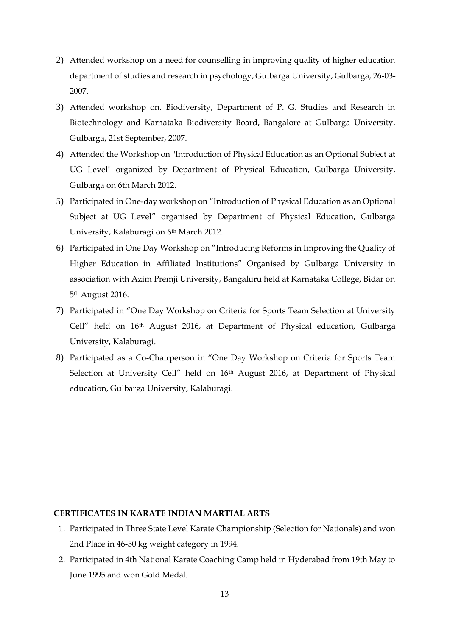- 2) Attended workshop on a need for counselling in improving quality of higher education department of studies and research in psychology, Gulbarga University, Gulbarga, 26-03- 2007.
- 3) Attended workshop on. Biodiversity, Department of P. G. Studies and Research in Biotechnology and Karnataka Biodiversity Board, Bangalore at Gulbarga University, Gulbarga, 21st September, 2007.
- 4) Attended the Workshop on "Introduction of Physical Education as an Optional Subject at UG Level" organized by Department of Physical Education, Gulbarga University, Gulbarga on 6th March 2012.
- 5) Participated in One-day workshop on "Introduction of Physical Education as an Optional Subject at UG Level" organised by Department of Physical Education, Gulbarga University, Kalaburagi on 6th March 2012.
- 6) Participated in One Day Workshop on "Introducing Reforms in Improving the Quality of Higher Education in Affiliated Institutions" Organised by Gulbarga University in association with Azim Premji University, Bangaluru held at Karnataka College, Bidar on 5th August 2016.
- 7) Participated in "One Day Workshop on Criteria for Sports Team Selection at University Cell" held on 16th August 2016, at Department of Physical education, Gulbarga University, Kalaburagi.
- 8) Participated as a Co-Chairperson in "One Day Workshop on Criteria for Sports Team Selection at University Cell" held on 16<sup>th</sup> August 2016, at Department of Physical education, Gulbarga University, Kalaburagi.

## **CERTIFICATES IN KARATE INDIAN MARTIAL ARTS**

- 1. Participated in Three State Level Karate Championship (Selection for Nationals) and won 2nd Place in 46-50 kg weight category in 1994.
- 2. Participated in 4th National Karate Coaching Camp held in Hyderabad from 19th May to June 1995 and won Gold Medal.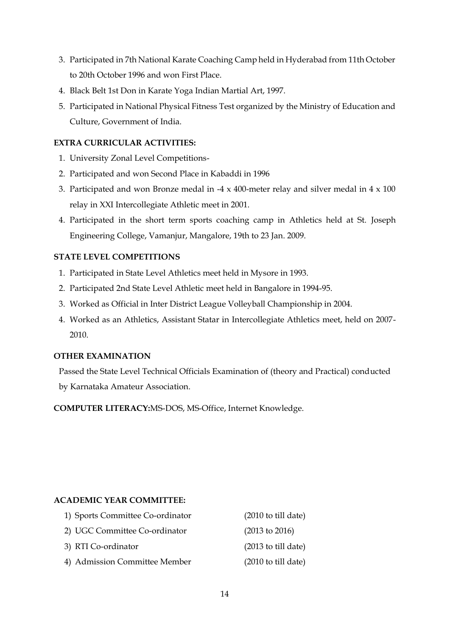- 3. Participated in 7th National Karate Coaching Camp held in Hyderabad from 11th October to 20th October 1996 and won First Place.
- 4. Black Belt 1st Don in Karate Yoga Indian Martial Art, 1997.
- 5. Participated in National Physical Fitness Test organized by the Ministry of Education and Culture, Government of India.

## **EXTRA CURRICULAR ACTIVITIES:**

- 1. University Zonal Level Competitions-
- 2. Participated and won Second Place in Kabaddi in 1996
- 3. Participated and won Bronze medal in -4 x 400-meter relay and silver medal in 4 x 100 relay in XXI Intercollegiate Athletic meet in 2001.
- 4. Participated in the short term sports coaching camp in Athletics held at St. Joseph Engineering College, Vamanjur, Mangalore, 19th to 23 Jan. 2009.

## **STATE LEVEL COMPETITIONS**

- 1. Participated in State Level Athletics meet held in Mysore in 1993.
- 2. Participated 2nd State Level Athletic meet held in Bangalore in 1994-95.
- 3. Worked as Official in Inter District League Volleyball Championship in 2004.
- 4. Worked as an Athletics, Assistant Statar in Intercollegiate Athletics meet, held on 2007- 2010.

## **OTHER EXAMINATION**

Passed the State Level Technical Officials Examination of (theory and Practical) conducted by Karnataka Amateur Association.

**COMPUTER LITERACY:**MS-DOS, MS-Office, Internet Knowledge.

## **ACADEMIC YEAR COMMITTEE:**

| 1) Sports Committee Co-ordinator | $(2010 \text{ to till date})$ |
|----------------------------------|-------------------------------|
| 2) UGC Committee Co-ordinator    | $(2013 \text{ to } 2016)$     |
| 3) RTI Co-ordinator              | $(2013 \text{ to till date})$ |
| 4) Admission Committee Member    | $(2010 \text{ to till date})$ |